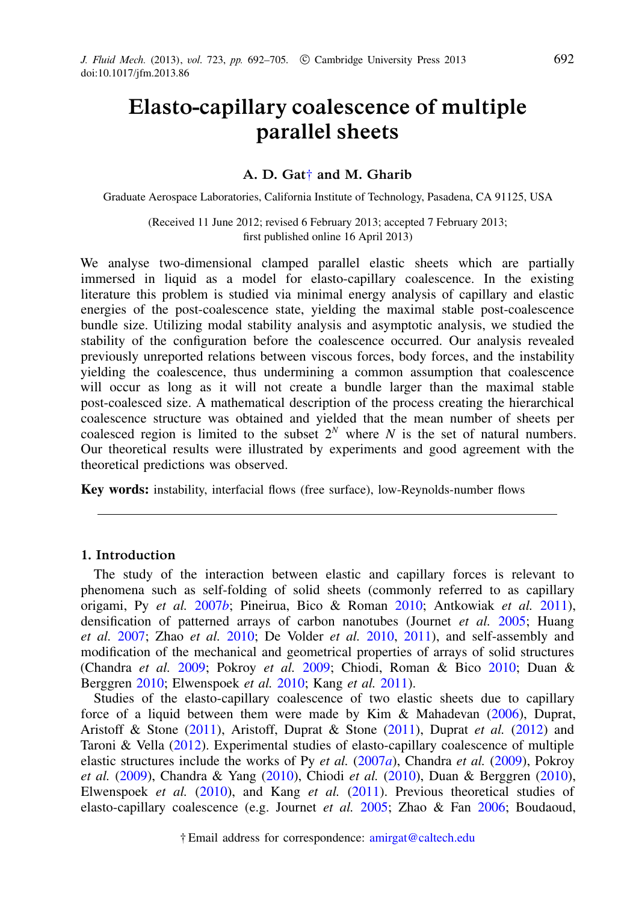# Elasto-capillary coalescence of multiple parallel sheets

# A. D. Gat[†](#page-0-0) and M. Gharib

Graduate Aerospace Laboratories, California Institute of Technology, Pasadena, CA 91125, USA

(Received 11 June 2012; revised 6 February 2013; accepted 7 February 2013; first published online 16 April 2013)

We analyse two-dimensional clamped parallel elastic sheets which are partially immersed in liquid as a model for elasto-capillary coalescence. In the existing literature this problem is studied via minimal energy analysis of capillary and elastic energies of the post-coalescence state, yielding the maximal stable post-coalescence bundle size. Utilizing modal stability analysis and asymptotic analysis, we studied the stability of the configuration before the coalescence occurred. Our analysis revealed previously unreported relations between viscous forces, body forces, and the instability yielding the coalescence, thus undermining a common assumption that coalescence will occur as long as it will not create a bundle larger than the maximal stable post-coalesced size. A mathematical description of the process creating the hierarchical coalescence structure was obtained and yielded that the mean number of sheets per coalesced region is limited to the subset  $2^N$  where *N* is the set of natural numbers. Our theoretical results were illustrated by experiments and good agreement with the theoretical predictions was observed.

Key words: instability, interfacial flows (free surface), low-Reynolds-number flows

# 1. Introduction

The study of the interaction between elastic and capillary forces is relevant to phenomena such as self-folding of solid sheets (commonly referred to as capillary origami, Py *et al.* 2007*b*; Pineirua, Bico & Roman 2010; Antkowiak *et al.* 2011), densification of patterned arrays of carbon nanotubes (Journet *et al.* 2005; Huang *et al.* 2007; Zhao *et al.* 2010; De Volder *et al.* 2010, 2011), and self-assembly and modification of the mechanical and geometrical properties of arrays of solid structures (Chandra *et al.* 2009; Pokroy *et al.* 2009; Chiodi, Roman & Bico 2010; Duan & Berggren 2010; Elwenspoek *et al.* 2010; Kang *et al.* 2011).

<span id="page-0-0"></span>Studies of the elasto-capillary coalescence of two elastic sheets due to capillary force of a liquid between them were made by Kim & Mahadevan (2006), Duprat, Aristoff & Stone (2011), Aristoff, Duprat & Stone (2011), Duprat *et al.* (2012) and Taroni & Vella (2012). Experimental studies of elasto-capillary coalescence of multiple elastic structures include the works of Py *et al.* (2007*a*), Chandra *et al.* (2009), Pokroy *et al.* (2009), Chandra & Yang (2010), Chiodi *et al.* (2010), Duan & Berggren (2010), Elwenspoek *et al.* (2010), and Kang *et al.* (2011). Previous theoretical studies of elasto-capillary coalescence (e.g. Journet *et al.* 2005; Zhao & Fan 2006; Boudaoud,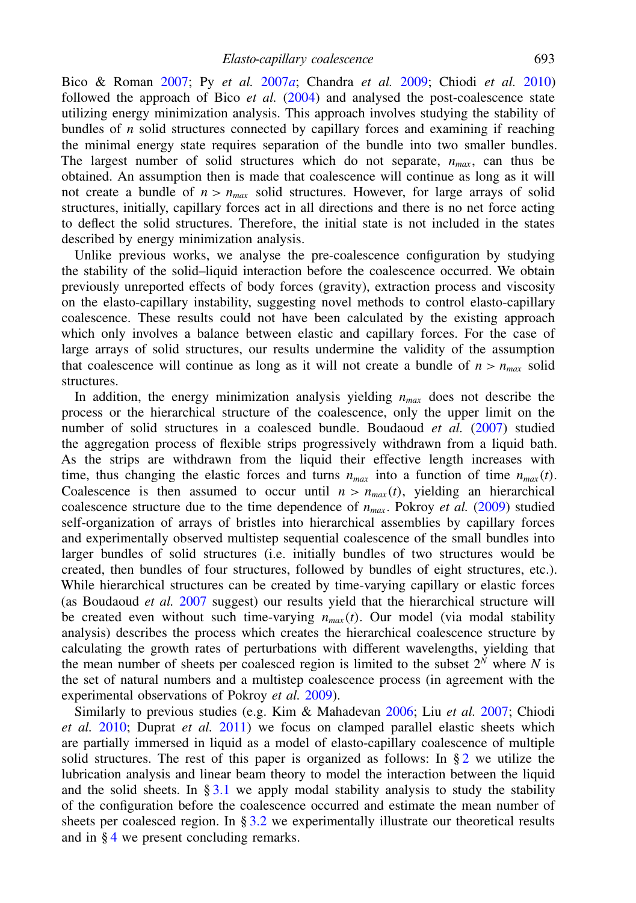Bico & Roman 2007; Py *et al.* 2007*a*; Chandra *et al.* 2009; Chiodi *et al.* 2010) followed the approach of Bico *et al.* (2004) and analysed the post-coalescence state utilizing energy minimization analysis. This approach involves studying the stability of bundles of *n* solid structures connected by capillary forces and examining if reaching the minimal energy state requires separation of the bundle into two smaller bundles. The largest number of solid structures which do not separate,  $n_{max}$ , can thus be obtained. An assumption then is made that coalescence will continue as long as it will not create a bundle of  $n > n_{max}$  solid structures. However, for large arrays of solid structures, initially, capillary forces act in all directions and there is no net force acting to deflect the solid structures. Therefore, the initial state is not included in the states described by energy minimization analysis.

Unlike previous works, we analyse the pre-coalescence configuration by studying the stability of the solid–liquid interaction before the coalescence occurred. We obtain previously unreported effects of body forces (gravity), extraction process and viscosity on the elasto-capillary instability, suggesting novel methods to control elasto-capillary coalescence. These results could not have been calculated by the existing approach which only involves a balance between elastic and capillary forces. For the case of large arrays of solid structures, our results undermine the validity of the assumption that coalescence will continue as long as it will not create a bundle of  $n > n_{max}$  solid structures.

In addition, the energy minimization analysis yielding  $n_{max}$  does not describe the process or the hierarchical structure of the coalescence, only the upper limit on the number of solid structures in a coalesced bundle. Boudaoud *et al.* (2007) studied the aggregation process of flexible strips progressively withdrawn from a liquid bath. As the strips are withdrawn from the liquid their effective length increases with time, thus changing the elastic forces and turns  $n_{max}$  into a function of time  $n_{max}(t)$ . Coalescence is then assumed to occur until  $n > n_{max}(t)$ , yielding an hierarchical coalescence structure due to the time dependence of  $n_{max}$ . Pokroy *et al.* (2009) studied self-organization of arrays of bristles into hierarchical assemblies by capillary forces and experimentally observed multistep sequential coalescence of the small bundles into larger bundles of solid structures (i.e. initially bundles of two structures would be created, then bundles of four structures, followed by bundles of eight structures, etc.). While hierarchical structures can be created by time-varying capillary or elastic forces (as Boudaoud *et al.* 2007 suggest) our results yield that the hierarchical structure will be created even without such time-varying  $n_{max}(t)$ . Our model (via modal stability analysis) describes the process which creates the hierarchical coalescence structure by calculating the growth rates of perturbations with different wavelengths, yielding that the mean number of sheets per coalesced region is limited to the subset  $2^N$  where N is the set of natural numbers and a multistep coalescence process (in agreement with the experimental observations of Pokroy *et al.* 2009).

<span id="page-1-0"></span>Similarly to previous studies (e.g. Kim & Mahadevan 2006; Liu *et al.* 2007; Chiodi *et al.* 2010; Duprat *et al.* 2011) we focus on clamped parallel elastic sheets which are partially immersed in liquid as a model of elasto-capillary coalescence of multiple solid structures. The rest of this paper is organized as follows: In  $\S 2$  $\S 2$  we utilize the lubrication analysis and linear beam theory to model the interaction between the liquid and the solid sheets. In  $\S 3.1$  $\S 3.1$  we apply modal stability analysis to study the stability of the configuration before the coalescence occurred and estimate the mean number of sheets per coalesced region. In  $\S 3.2$  $\S 3.2$  we experimentally illustrate our theoretical results and in § [4](#page-10-0) we present concluding remarks.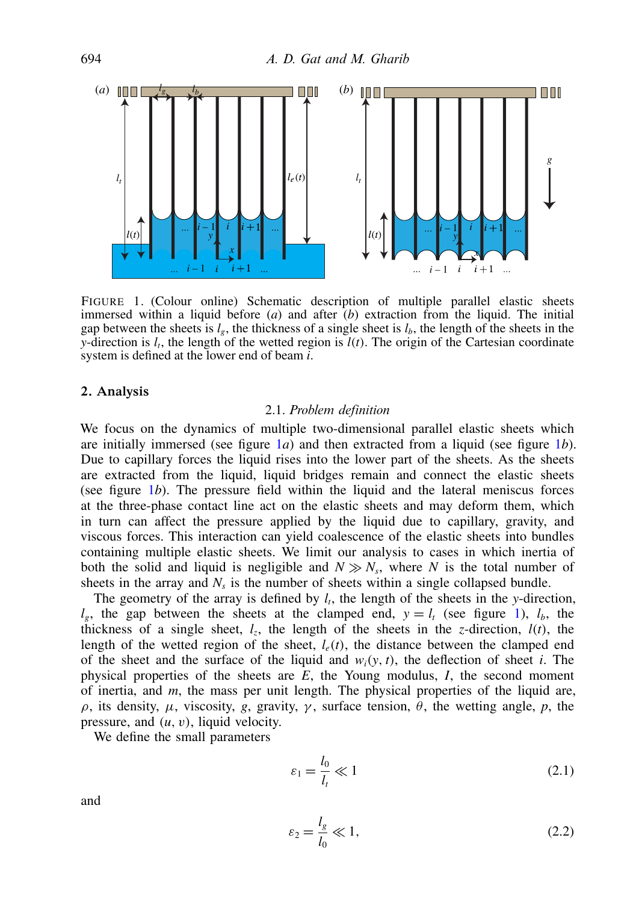

FIGURE 1. (Colour online) Schematic description of multiple parallel elastic sheets immersed within a liquid before (*a*) and after (*b*) extraction from the liquid. The initial gap between the sheets is  $l<sub>e</sub>$ , the thickness of a single sheet is  $l<sub>b</sub>$ , the length of the sheets in the *y*-direction is *l<sup>t</sup>* , the length of the wetted region is *l*(*t*). The origin of the Cartesian coordinate system is defined at the lower end of beam *i*.

## 2. Analysis

### 2.1. *Problem definition*

We focus on the dynamics of multiple two-dimensional parallel elastic sheets which are initially immersed (see figure 1*a*) and then extracted from a liquid (see figure 1*b*). Due to capillary forces the liquid rises into the lower part of the sheets. As the sheets are extracted from the liquid, liquid bridges remain and connect the elastic sheets (see figure 1*b*). The pressure field within the liquid and the lateral meniscus forces at the three-phase contact line act on the elastic sheets and may deform them, which in turn can affect the pressure applied by the liquid due to capillary, gravity, and viscous forces. This interaction can yield coalescence of the elastic sheets into bundles containing multiple elastic sheets. We limit our analysis to cases in which inertia of both the solid and liquid is negligible and  $N \gg N_s$ , where *N* is the total number of sheets in the array and  $N_s$  is the number of sheets within a single collapsed bundle.

The geometry of the array is defined by  $l_t$ , the length of the sheets in the *y*-direction,  $l_e$ , the gap between the sheets at the clamped end,  $y = l_t$  (see figure 1),  $l_b$ , the thickness of a single sheet,  $l_z$ , the length of the sheets in the *z*-direction,  $l(t)$ , the length of the wetted region of the sheet,  $l_e(t)$ , the distance between the clamped end of the sheet and the surface of the liquid and  $w_i(y, t)$ , the deflection of sheet *i*. The physical properties of the sheets are *E*, the Young modulus, *I*, the second moment of inertia, and *m*, the mass per unit length. The physical properties of the liquid are, ρ, its density, µ, viscosity, *g*, gravity, γ , surface tension, θ, the wetting angle, *p*, the pressure, and (*u*, v), liquid velocity.

We define the small parameters

<span id="page-2-0"></span>
$$
\varepsilon_1 = \frac{l_0}{l_t} \ll 1\tag{2.1}
$$

and

$$
\varepsilon_2 = \frac{l_g}{l_0} \ll 1,\tag{2.2}
$$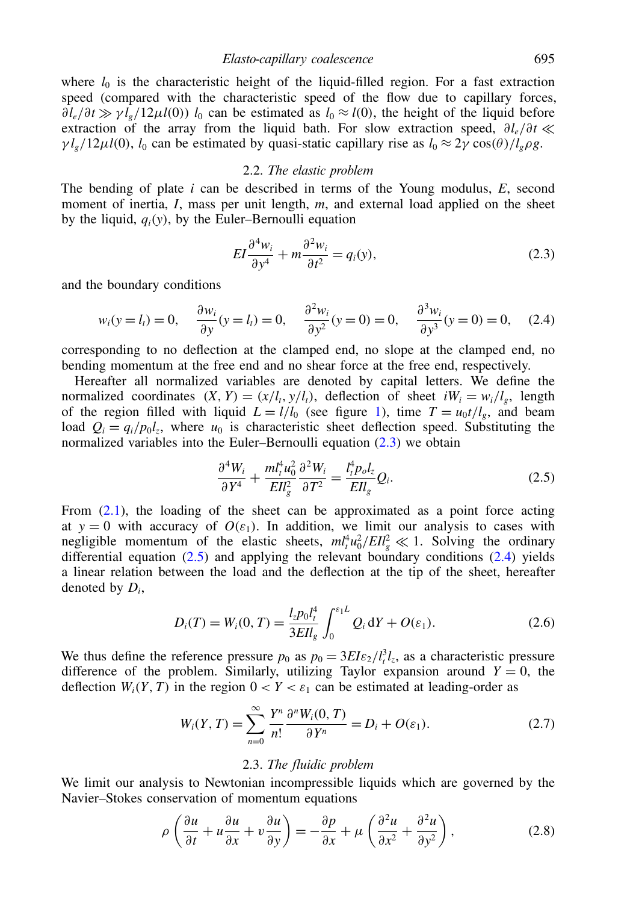where  $l_0$  is the characteristic height of the liquid-filled region. For a fast extraction speed (compared with the characteristic speed of the flow due to capillary forces,  $\partial l_e/\partial t \gg \gamma \bar{l}_e/12\mu l(0)$  *l*<sub>0</sub> can be estimated as  $l_0 \approx l(0)$ , the height of the liquid before extraction of the array from the liquid bath. For slow extraction speed, ∂*le*/∂*t*  $\gamma l_g/12\mu l(0)$ ,  $l_0$  can be estimated by quasi-static capillary rise as  $l_0 \approx 2\gamma \cos(\theta) / l_g \rho g$ .

### <span id="page-3-0"></span>2.2. *The elastic problem*

The bending of plate *i* can be described in terms of the Young modulus, *E*, second moment of inertia, *I*, mass per unit length, *m*, and external load applied on the sheet by the liquid,  $q_i(y)$ , by the Euler–Bernoulli equation

<span id="page-3-2"></span>
$$
EI\frac{\partial^4 w_i}{\partial y^4} + m\frac{\partial^2 w_i}{\partial t^2} = q_i(y),\tag{2.3}
$$

and the boundary conditions

$$
w_i(y = l_i) = 0
$$
,  $\frac{\partial w_i}{\partial y}(y = l_i) = 0$ ,  $\frac{\partial^2 w_i}{\partial y^2}(y = 0) = 0$ ,  $\frac{\partial^3 w_i}{\partial y^3}(y = 0) = 0$ , (2.4)

corresponding to no deflection at the clamped end, no slope at the clamped end, no bending momentum at the free end and no shear force at the free end, respectively.

Hereafter all normalized variables are denoted by capital letters. We define the normalized coordinates  $(X, Y) = (x/l_t, y/l_t)$ , deflection of sheet  $iW_i = w_i/l_g$ , length of the region filled with liquid  $L = l/l_0$  (see figure 1), time  $T = u_0 t/l_g$ , and beam load  $Q_i = q_i/p_0 l_z$ , where  $u_0$  is characteristic sheet deflection speed. Substituting the normalized variables into the Euler–Bernoulli equation [\(2.3\)](#page-3-0) we obtain

<span id="page-3-1"></span>
$$
\frac{\partial^4 W_i}{\partial Y^4} + \frac{m l_t^4 u_0^2}{E I l_s^0} \frac{\partial^2 W_i}{\partial T^2} = \frac{l_t^4 p_o l_z}{E I l_s} Q_i.
$$
 (2.5)

From  $(2.1)$ , the loading of the sheet can be approximated as a point force acting at  $y = 0$  with accuracy of  $O(\varepsilon_1)$ . In addition, we limit our analysis to cases with negligible momentum of the elastic sheets,  $m_t^4 u_0^2 / EI_g^2 \ll 1$ . Solving the ordinary differential equation  $(2.5)$  and applying the relevant boundary conditions  $(2.4)$  yields a linear relation between the load and the deflection at the tip of the sheet, hereafter denoted by *D<sup>i</sup>* ,

$$
D_i(T) = W_i(0, T) = \frac{l_z p_0 l_t^4}{3EI_s} \int_0^{\varepsilon_1 L} Q_i \, dY + O(\varepsilon_1).
$$
 (2.6)

We thus define the reference pressure  $p_0$  as  $p_0 = 3EI\varepsilon_2/l_t^3l_z$ , as a characteristic pressure difference of the problem. Similarly, utilizing Taylor expansion around  $Y = 0$ , the deflection  $W_i(Y, T)$  in the region  $0 < Y < \varepsilon_1$  can be estimated at leading-order as

$$
W_i(Y,T) = \sum_{n=0}^{\infty} \frac{Y^n}{n!} \frac{\partial^n W_i(0,T)}{\partial Y^n} = D_i + O(\varepsilon_1).
$$
 (2.7)

## <span id="page-3-3"></span>2.3. *The fluidic problem*

We limit our analysis to Newtonian incompressible liquids which are governed by the Navier–Stokes conservation of momentum equations

$$
\rho \left( \frac{\partial u}{\partial t} + u \frac{\partial u}{\partial x} + v \frac{\partial u}{\partial y} \right) = -\frac{\partial p}{\partial x} + \mu \left( \frac{\partial^2 u}{\partial x^2} + \frac{\partial^2 u}{\partial y^2} \right),\tag{2.8}
$$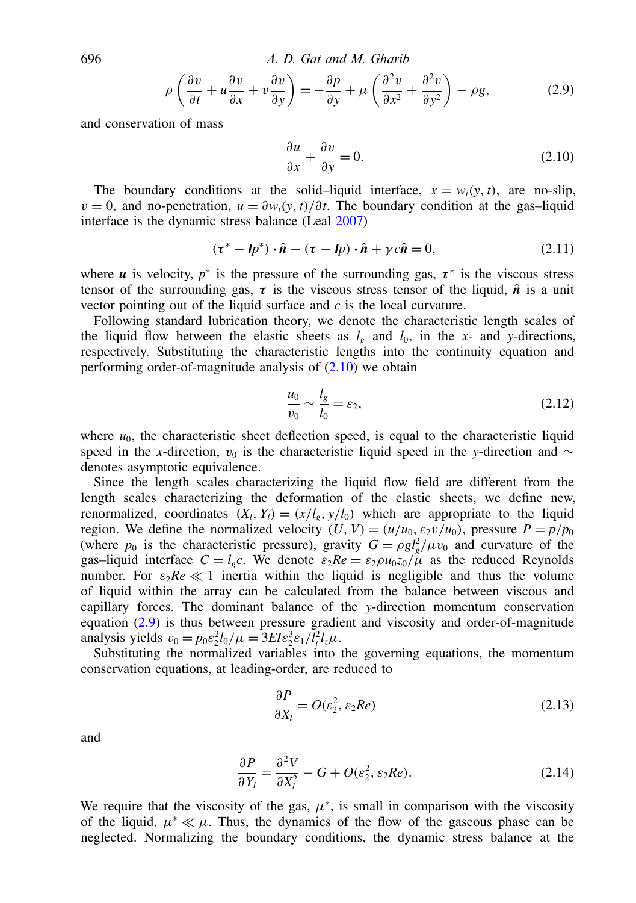696 *A. D. Gat and M. Gharib*

$$
\rho \left( \frac{\partial v}{\partial t} + u \frac{\partial v}{\partial x} + v \frac{\partial v}{\partial y} \right) = -\frac{\partial p}{\partial y} + \mu \left( \frac{\partial^2 v}{\partial x^2} + \frac{\partial^2 v}{\partial y^2} \right) - \rho g,
$$
\n(2.9)

and conservation of mass

<span id="page-4-1"></span><span id="page-4-0"></span>
$$
\frac{\partial u}{\partial x} + \frac{\partial v}{\partial y} = 0.
$$
 (2.10)

The boundary conditions at the solid–liquid interface,  $x = w_i(y, t)$ , are no-slip,  $v = 0$ , and no-penetration,  $u = \frac{\partial w_i(y, t)}{\partial t}$ . The boundary condition at the gas–liquid interface is the dynamic stress balance (Leal 2007)

$$
(\boldsymbol{\tau}^* - \boldsymbol{l}p^*) \cdot \hat{\boldsymbol{n}} - (\boldsymbol{\tau} - \boldsymbol{l}p) \cdot \hat{\boldsymbol{n}} + \gamma c \hat{\boldsymbol{n}} = 0, \qquad (2.11)
$$

where *u* is velocity,  $p^*$  is the pressure of the surrounding gas,  $\tau^*$  is the viscous stress tensor of the surrounding gas,  $\tau$  is the viscous stress tensor of the liquid,  $\hat{n}$  is a unit vector pointing out of the liquid surface and *c* is the local curvature.

Following standard lubrication theory, we denote the characteristic length scales of the liquid flow between the elastic sheets as  $l_g$  and  $l_0$ , in the *x*- and *y*-directions, respectively. Substituting the characteristic lengths into the continuity equation and performing order-of-magnitude analysis of  $(2.10)$  we obtain

$$
\frac{u_0}{v_0} \sim \frac{l_g}{l_0} = \varepsilon_2,\tag{2.12}
$$

where  $u_0$ , the characteristic sheet deflection speed, is equal to the characteristic liquid speed in the *x*-direction,  $v_0$  is the characteristic liquid speed in the *y*-direction and ∼ denotes asymptotic equivalence.

Since the length scales characterizing the liquid flow field are different from the length scales characterizing the deformation of the elastic sheets, we define new, renormalized, coordinates  $(X_l, Y_l) = (x/l_g, y/l_0)$  which are appropriate to the liquid region. We define the normalized velocity  $(U, V) = (u/u_0, \varepsilon_2 v/u_0)$ , pressure  $P = p/p_0$ (where  $p_0$  is the characteristic pressure), gravity  $G = \rho g l_g^2 / \mu v_0$  and curvature of the gas–liquid interface  $C = l_e c$ . We denote  $\varepsilon_2 Re = \varepsilon_2 \rho u_0 z_0 / \mu$  as the reduced Reynolds number. For  $\varepsilon_2 Re \ll 1$  inertia within the liquid is negligible and thus the volume of liquid within the array can be calculated from the balance between viscous and capillary forces. The dominant balance of the *y*-direction momentum conservation equation [\(2.9\)](#page-4-1) is thus between pressure gradient and viscosity and order-of-magnitude analysis yields  $v_0 = p_0 \varepsilon_2^2 l_0 / \mu = 3E I \varepsilon_2^3 \varepsilon_1 / l_t^2 l_z \mu$ .

Substituting the normalized variables into the governing equations, the momentum conservation equations, at leading-order, are reduced to

<span id="page-4-2"></span>
$$
\frac{\partial P}{\partial X_l} = O(\varepsilon_2^2, \varepsilon_2 Re) \tag{2.13}
$$

and

$$
\frac{\partial P}{\partial Y_l} = \frac{\partial^2 V}{\partial X_l^2} - G + O(\varepsilon_2^2, \varepsilon_2 Re). \tag{2.14}
$$

We require that the viscosity of the gas,  $\mu^*$ , is small in comparison with the viscosity of the liquid,  $\mu^* \ll \mu$ . Thus, the dynamics of the flow of the gaseous phase can be neglected. Normalizing the boundary conditions, the dynamic stress balance at the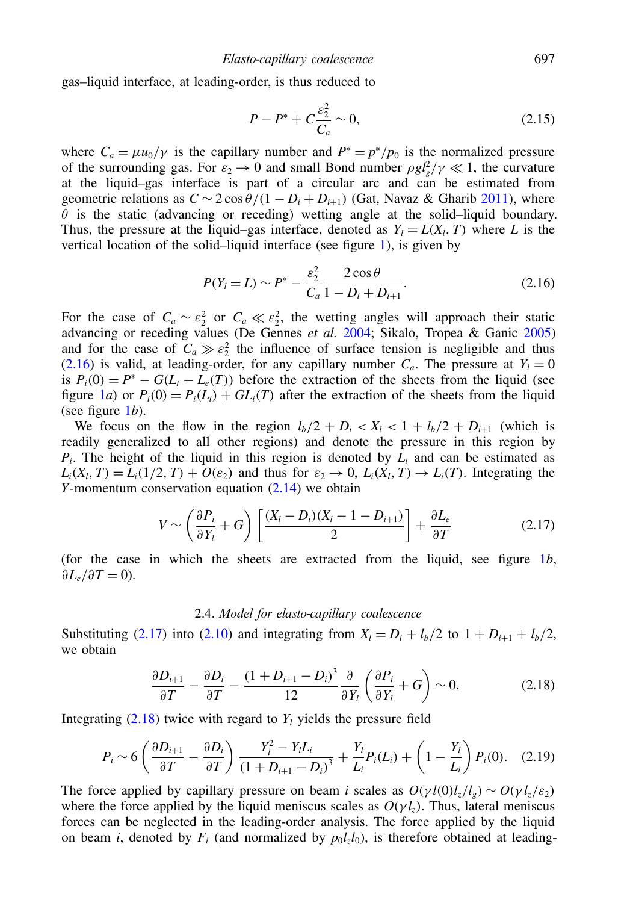gas–liquid interface, at leading-order, is thus reduced to

<span id="page-5-0"></span>
$$
P - P^* + C \frac{\varepsilon_2^2}{C_a} \sim 0,\tag{2.15}
$$

where  $C_a = \mu u_0 / \gamma$  is the capillary number and  $P^* = p^* / p_0$  is the normalized pressure of the surrounding gas. For  $\varepsilon_2 \to 0$  and small Bond number  $\rho g l_g^2 / \gamma \ll 1$ , the curvature at the liquid–gas interface is part of a circular arc and can be estimated from geometric relations as  $C \sim 2 \cos \theta/(1 - D_i + D_{i+1})$  (Gat, Navaz & Gharib 2011), where  $\theta$  is the static (advancing or receding) wetting angle at the solid–liquid boundary. Thus, the pressure at the liquid–gas interface, denoted as  $Y_l = L(X_l, T)$  where *L* is the vertical location of the solid–liquid interface (see figure 1), is given by

$$
P(Y_l = L) \sim P^* - \frac{\varepsilon_2^2}{C_a} \frac{2 \cos \theta}{1 - D_i + D_{i+1}}.
$$
\n(2.16)

For the case of  $C_a \sim \varepsilon_2^2$  or  $C_a \ll \varepsilon_2^2$ , the wetting angles will approach their static advancing or receding values (De Gennes *et al.* 2004; Sikalo, Tropea & Ganic 2005) and for the case of  $C_a \gg \varepsilon_2^2$  the influence of surface tension is negligible and thus [\(2.16\)](#page-5-0) is valid, at leading-order, for any capillary number  $C_a$ . The pressure at  $Y_l = 0$ is  $P_i(0) = P^* - G(L_i - L_e(T))$  before the extraction of the sheets from the liquid (see figure 1*a*) or  $P_i(0) = P_i(L_i) + GL_i(T)$  after the extraction of the sheets from the liquid (see figure 1*b*).

We focus on the flow in the region  $l_b/2 + D_i < X_l < 1 + l_b/2 + D_{i+1}$  (which is readily generalized to all other regions) and denote the pressure in this region by  $P_i$ . The height of the liquid in this region is denoted by  $L_i$  and can be estimated as  $L_i(X_i, T) = L_i(1/2, T) + O(\varepsilon_2)$  and thus for  $\varepsilon_2 \to 0$ ,  $L_i(X_i, T) \to L_i(T)$ . Integrating the *Y*-momentum conservation equation [\(2.14\)](#page-4-2) we obtain

$$
V \sim \left(\frac{\partial P_i}{\partial Y_l} + G\right) \left[\frac{(X_l - D_i)(X_l - 1 - D_{i+1})}{2}\right] + \frac{\partial L_e}{\partial T}
$$
(2.17)

(for the case in which the sheets are extracted from the liquid, see figure 1*b*,  $\partial L_e/\partial T = 0$ ).

#### <span id="page-5-2"></span><span id="page-5-1"></span>2.4. *Model for elasto-capillary coalescence*

Substituting [\(2.17\)](#page-5-1) into [\(2.10\)](#page-4-0) and integrating from  $X_l = D_i + l_b/2$  to  $1 + D_{i+1} + l_b/2$ , we obtain

$$
\frac{\partial D_{i+1}}{\partial T} - \frac{\partial D_i}{\partial T} - \frac{(1 + D_{i+1} - D_i)^3}{12} \frac{\partial}{\partial Y_i} \left( \frac{\partial P_i}{\partial Y_i} + G \right) \sim 0. \tag{2.18}
$$

Integrating  $(2.18)$  twice with regard to  $Y_l$  yields the pressure field

$$
P_i \sim 6\left(\frac{\partial D_{i+1}}{\partial T} - \frac{\partial D_i}{\partial T}\right) \frac{Y_i^2 - Y_i L_i}{\left(1 + D_{i+1} - D_i\right)^3} + \frac{Y_i}{L_i} P_i(L_i) + \left(1 - \frac{Y_i}{L_i}\right) P_i(0). \quad (2.19)
$$

The force applied by capillary pressure on beam *i* scales as  $O(\gamma l(0)l_z/l_g) \sim O(\gamma l_z/\epsilon_2)$ where the force applied by the liquid meniscus scales as  $O(\gamma l_z)$ . Thus, lateral meniscus forces can be neglected in the leading-order analysis. The force applied by the liquid on beam *i*, denoted by  $F_i$  (and normalized by  $p_0 l_z l_0$ ), is therefore obtained at leading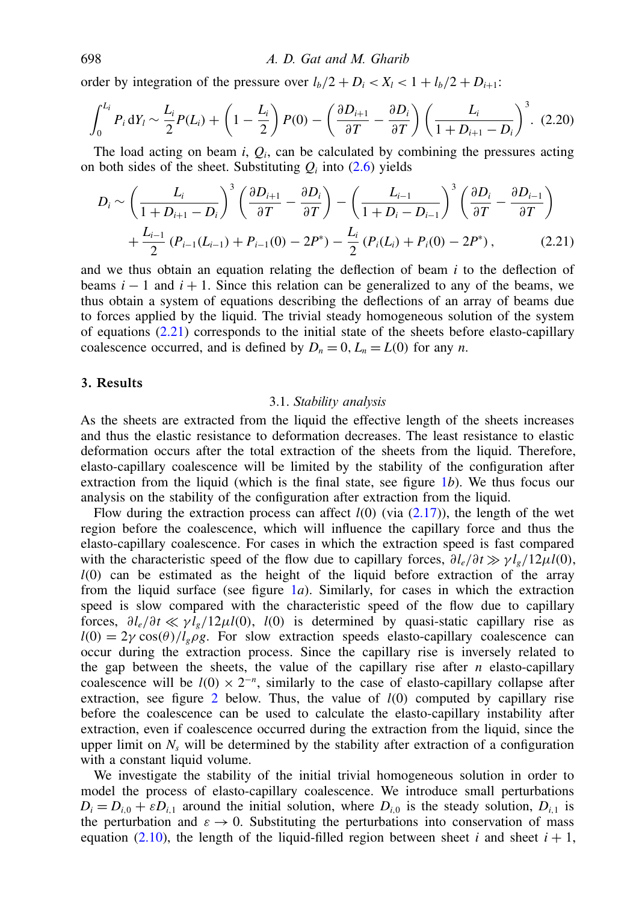order by integration of the pressure over  $l_b/2 + D_i < X_l < 1 + l_b/2 + D_{i+1}$ :

$$
\int_0^{L_i} P_i \, dY_l \sim \frac{L_i}{2} P(L_i) + \left(1 - \frac{L_i}{2}\right) P(0) - \left(\frac{\partial D_{i+1}}{\partial T} - \frac{\partial D_i}{\partial T}\right) \left(\frac{L_i}{1 + D_{i+1} - D_i}\right)^3. \tag{2.20}
$$

The load acting on beam  $i$ ,  $Q_i$ , can be calculated by combining the pressures acting on both sides of the sheet. Substituting  $Q_i$  into [\(2.6\)](#page-3-3) yields

$$
D_{i} \sim \left(\frac{L_{i}}{1+D_{i+1}-D_{i}}\right)^{3} \left(\frac{\partial D_{i+1}}{\partial T}-\frac{\partial D_{i}}{\partial T}\right) - \left(\frac{L_{i-1}}{1+D_{i}-D_{i-1}}\right)^{3} \left(\frac{\partial D_{i}}{\partial T}-\frac{\partial D_{i-1}}{\partial T}\right) + \frac{L_{i-1}}{2} \left(P_{i-1}(L_{i-1})+P_{i-1}(0)-2P^{*}\right) - \frac{L_{i}}{2} \left(P_{i}(L_{i})+P_{i}(0)-2P^{*}\right), \tag{2.21}
$$

and we thus obtain an equation relating the deflection of beam *i* to the deflection of beams  $i - 1$  and  $i + 1$ . Since this relation can be generalized to any of the beams, we thus obtain a system of equations describing the deflections of an array of beams due to forces applied by the liquid. The trivial steady homogeneous solution of the system of equations  $(2.21)$  corresponds to the initial state of the sheets before elasto-capillary coalescence occurred, and is defined by  $D_n = 0$ ,  $L_n = L(0)$  for any *n*.

# 3. Results

## <span id="page-6-1"></span>3.1. *Stability analysis*

<span id="page-6-0"></span>As the sheets are extracted from the liquid the effective length of the sheets increases and thus the elastic resistance to deformation decreases. The least resistance to elastic deformation occurs after the total extraction of the sheets from the liquid. Therefore, elasto-capillary coalescence will be limited by the stability of the configuration after extraction from the liquid (which is the final state, see figure 1*b*). We thus focus our analysis on the stability of the configuration after extraction from the liquid.

Flow during the extraction process can affect  $l(0)$  (via  $(2.17)$ ), the length of the wet region before the coalescence, which will influence the capillary force and thus the elasto-capillary coalescence. For cases in which the extraction speed is fast compared with the characteristic speed of the flow due to capillary forces,  $\partial l_e/\partial t \gg \gamma l_e/12\mu l(0)$ , *l*(0) can be estimated as the height of the liquid before extraction of the array from the liquid surface (see figure 1*a*). Similarly, for cases in which the extraction speed is slow compared with the characteristic speed of the flow due to capillary forces,  $\partial l_e/\partial t \ll \gamma l_e/12\mu l(0)$ , *l*(0) is determined by quasi-static capillary rise as  $l(0) = 2\gamma \cos(\theta) / l_e \rho g$ . For slow extraction speeds elasto-capillary coalescence can occur during the extraction process. Since the capillary rise is inversely related to the gap between the sheets, the value of the capillary rise after  $n$  elasto-capillary coalescence will be  $l(0) \times 2^{-n}$ , similarly to the case of elasto-capillary collapse after extraction, see figure 2 below. Thus, the value of *l*(0) computed by capillary rise before the coalescence can be used to calculate the elasto-capillary instability after extraction, even if coalescence occurred during the extraction from the liquid, since the upper limit on  $N_s$  will be determined by the stability after extraction of a configuration with a constant liquid volume.

We investigate the stability of the initial trivial homogeneous solution in order to model the process of elasto-capillary coalescence. We introduce small perturbations  $D_i = D_{i,0} + \varepsilon D_{i,1}$  around the initial solution, where  $D_{i,0}$  is the steady solution,  $D_{i,1}$  is the perturbation and  $\varepsilon \to 0$ . Substituting the perturbations into conservation of mass equation [\(2.10\)](#page-4-0), the length of the liquid-filled region between sheet *i* and sheet  $i + 1$ ,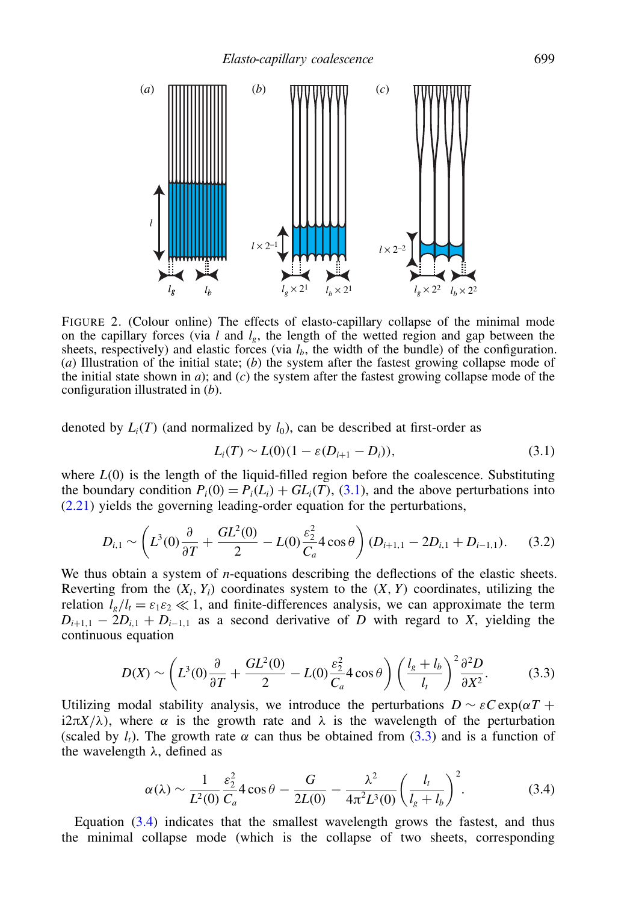

FIGURE 2. (Colour online) The effects of elasto-capillary collapse of the minimal mode on the capillary forces (via  $l$  and  $l_g$ , the length of the wetted region and gap between the sheets, respectively) and elastic forces (via  $l<sub>b</sub>$ , the width of the bundle) of the configuration. (*a*) Illustration of the initial state; (*b*) the system after the fastest growing collapse mode of the initial state shown in  $a$ ); and  $(c)$  the system after the fastest growing collapse mode of the configuration illustrated in (*b*).

denoted by  $L_i(T)$  (and normalized by  $l_0$ ), can be described at first-order as

<span id="page-7-1"></span><span id="page-7-0"></span>
$$
L_i(T) \sim L(0)(1 - \varepsilon(D_{i+1} - D_i)),
$$
\n(3.1)

where  $L(0)$  is the length of the liquid-filled region before the coalescence. Substituting the boundary condition  $P_i(0) = P_i(L_i) + GL_i(T), (3.1)$  $P_i(0) = P_i(L_i) + GL_i(T), (3.1)$ , and the above perturbations into [\(2.21\)](#page-6-1) yields the governing leading-order equation for the perturbations,

$$
D_{i,1} \sim \left( L^3(0) \frac{\partial}{\partial T} + \frac{GL^2(0)}{2} - L(0) \frac{\varepsilon_2^2}{C_a} 4 \cos \theta \right) (D_{i+1,1} - 2D_{i,1} + D_{i-1,1}). \tag{3.2}
$$

We thus obtain a system of *n*-equations describing the deflections of the elastic sheets. Reverting from the  $(X_l, Y_l)$  coordinates system to the  $(X, Y)$  coordinates, utilizing the relation  $l_e/l_t = \varepsilon_1 \varepsilon_2 \ll 1$ , and finite-differences analysis, we can approximate the term  $D_{i+1,1} - 2D_{i,1} + D_{i-1,1}$  as a second derivative of *D* with regard to *X*, yielding the continuous equation

$$
D(X) \sim \left( L^3(0) \frac{\partial}{\partial T} + \frac{GL^2(0)}{2} - L(0) \frac{\varepsilon_2^2}{C_a} 4 \cos \theta \right) \left( \frac{l_g + l_b}{l_t} \right)^2 \frac{\partial^2 D}{\partial X^2}.
$$
 (3.3)

Utilizing modal stability analysis, we introduce the perturbations  $D \sim \varepsilon C \exp(\alpha T +$ i $2\pi X/\lambda$ ), where  $\alpha$  is the growth rate and  $\lambda$  is the wavelength of the perturbation (scaled by  $l_t$ ). The growth rate  $\alpha$  can thus be obtained from [\(3.3\)](#page-7-1) and is a function of the wavelength  $\lambda$ , defined as

<span id="page-7-2"></span>
$$
\alpha(\lambda) \sim \frac{1}{L^2(0)} \frac{\varepsilon_2^2}{C_a} 4 \cos \theta - \frac{G}{2L(0)} - \frac{\lambda^2}{4\pi^2 L^3(0)} \left(\frac{l_t}{l_s + l_b}\right)^2.
$$
 (3.4)

Equation [\(3.4\)](#page-7-2) indicates that the smallest wavelength grows the fastest, and thus the minimal collapse mode (which is the collapse of two sheets, corresponding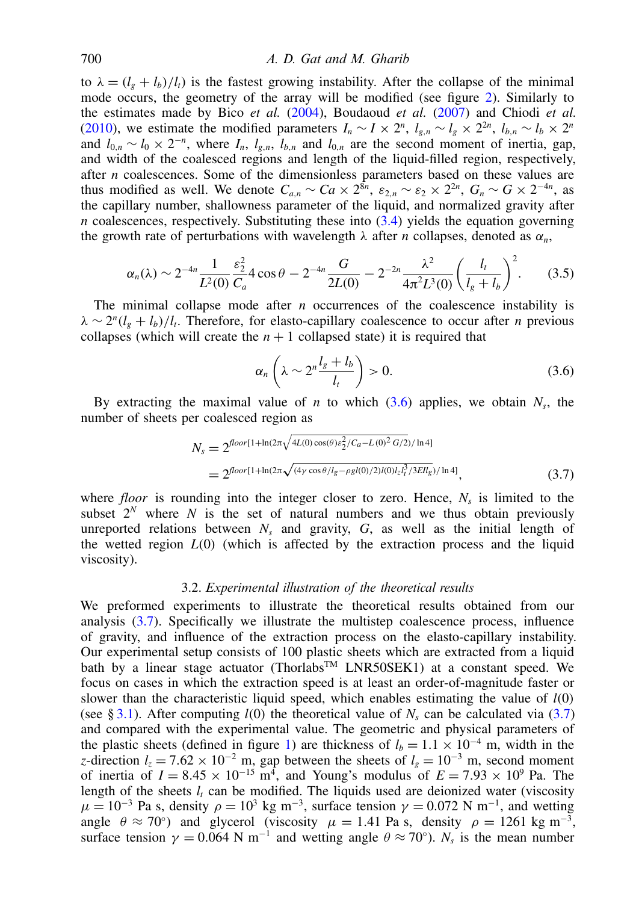## 700 *A. D. Gat and M. Gharib*

to  $\lambda = (l_g + l_b)/l_t$ ) is the fastest growing instability. After the collapse of the minimal mode occurs, the geometry of the array will be modified (see figure 2). Similarly to the estimates made by Bico *et al.* (2004), Boudaoud *et al.* (2007) and Chiodi *et al.* (2010), we estimate the modified parameters  $I_n \sim I \times 2^n$ ,  $l_{g,n} \sim l_g \times 2^{2n}$ ,  $l_{b,n} \sim l_b \times 2^n$ and  $l_{0,n} \sim l_0 \times 2^{-n}$ , where  $I_n$ ,  $l_{g,n}$ ,  $l_{b,n}$  and  $l_{0,n}$  are the second moment of inertia, gap, and width of the coalesced regions and length of the liquid-filled region, respectively, after *n* coalescences. Some of the dimensionless parameters based on these values are thus modified as well. We denote  $C_{a,n} \sim Ca \times 2^{8n}$ ,  $\varepsilon_{2,n} \sim \varepsilon_2 \times 2^{2n}$ ,  $G_n \sim G \times 2^{-4n}$ , as the capillary number, shallowness parameter of the liquid, and normalized gravity after  $n$  coalescences, respectively. Substituting these into  $(3.4)$  yields the equation governing the growth rate of perturbations with wavelength  $\lambda$  after *n* collapses, denoted as  $\alpha_n$ ,

$$
\alpha_n(\lambda) \sim 2^{-4n} \frac{1}{L^2(0)} \frac{\varepsilon_2^2}{C_a} 4 \cos \theta - 2^{-4n} \frac{G}{2L(0)} - 2^{-2n} \frac{\lambda^2}{4\pi^2 L^3(0)} \left(\frac{l_t}{l_s + l_b}\right)^2.
$$
 (3.5)

The minimal collapse mode after *n* occurrences of the coalescence instability is  $\lambda \sim 2^n(l_g + l_b)/l_t$ . Therefore, for elasto-capillary coalescence to occur after *n* previous collapses (which will create the  $n + 1$  collapsed state) it is required that

<span id="page-8-2"></span><span id="page-8-1"></span>
$$
\alpha_n \left( \lambda \sim 2^n \frac{l_g + l_b}{l_t} \right) > 0. \tag{3.6}
$$

By extracting the maximal value of  $n$  to which  $(3.6)$  applies, we obtain  $N_s$ , the number of sheets per coalesced region as

$$
N_s = 2^{\text{floor}[1 + \ln(2\pi\sqrt{4L(0)\cos(\theta)\epsilon_2^2/C_a - L(0)^2 G/2})/\ln 4]}
$$
  
= 2^{\text{floor}[1 + \ln(2\pi\sqrt{(4\gamma\cos(\theta)/l\_g - \rho g l(0)/2)l(0)l\_zl\_i^3/3EI\_g})/\ln 4]}, (3.7)

where *floor* is rounding into the integer closer to zero. Hence, *N<sup>s</sup>* is limited to the subset  $2^N$  where N is the set of natural numbers and we thus obtain previously unreported relations between  $N_s$  and gravity,  $G$ , as well as the initial length of the wetted region *L*(0) (which is affected by the extraction process and the liquid viscosity).

## 3.2. *Experimental illustration of the theoretical results*

<span id="page-8-0"></span>We preformed experiments to illustrate the theoretical results obtained from our analysis [\(3.7\)](#page-8-2). Specifically we illustrate the multistep coalescence process, influence of gravity, and influence of the extraction process on the elasto-capillary instability. Our experimental setup consists of 100 plastic sheets which are extracted from a liquid bath by a linear stage actuator (Thorlabs<sup>TM</sup> LNR50SEK1) at a constant speed. We focus on cases in which the extraction speed is at least an order-of-magnitude faster or slower than the characteristic liquid speed, which enables estimating the value of  $l(0)$ (see § [3.1\)](#page-6-0). After computing  $l(0)$  the theoretical value of  $N_s$  can be calculated via [\(3.7\)](#page-8-2) and compared with the experimental value. The geometric and physical parameters of the plastic sheets (defined in figure 1) are thickness of  $l_b = 1.1 \times 10^{-4}$  m, width in the *z*-direction  $l_z = 7.62 \times 10^{-2}$  m, gap between the sheets of  $l_g = 10^{-3}$  m, second moment of inertia of  $I = 8.45 \times 10^{-15}$  m<sup>4</sup>, and Young's modulus of  $E = 7.93 \times 10^{9}$  Pa. The length of the sheets  $l_t$  can be modified. The liquids used are deionized water (viscosity  $\mu = 10^{-3}$  Pa s, density  $\rho = 10^3$  kg m<sup>-3</sup>, surface tension  $\gamma = 0.072$  N m<sup>-1</sup>, and wetting angle  $\theta \approx 70^{\circ}$ ) and glycerol (viscosity  $\mu = 1.41$  Pa s, density  $\rho = 1261$  kg m<sup>-3</sup>, surface tension  $\gamma = 0.064$  N m<sup>-1</sup> and wetting angle  $\theta \approx 70^{\circ}$ ). *N<sub>s</sub>* is the mean number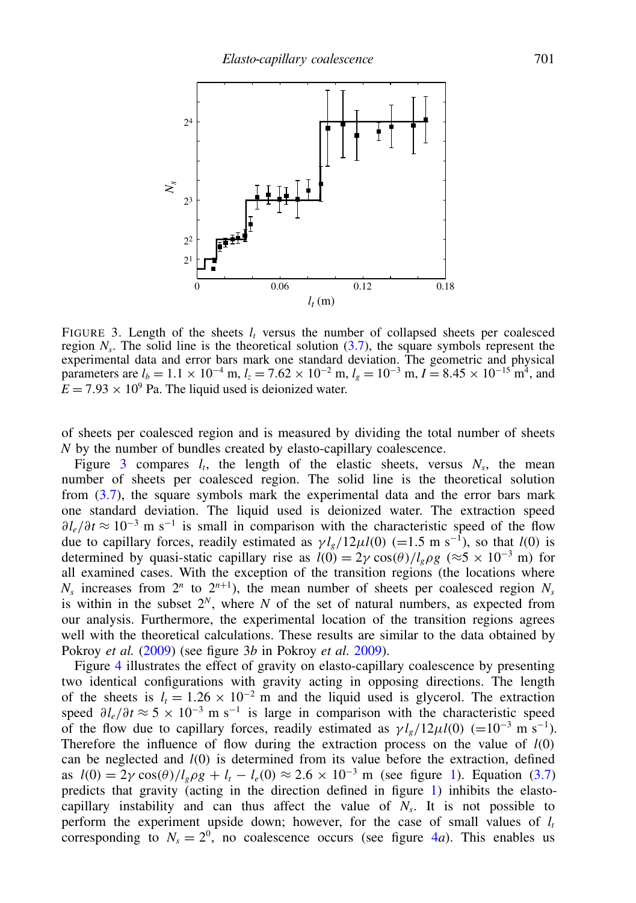

FIGURE 3. Length of the sheets  $l_t$  versus the number of collapsed sheets per coalesced region  $N_s$ . The solid line is the theoretical solution  $(3.7)$ , the square symbols represent the experimental data and error bars mark one standard deviation. The geometric and physical parameters are  $l_b = 1.1 \times 10^{-4}$  m,  $l_z = 7.62 \times 10^{-2}$  m,  $l_g = 10^{-3}$  m,  $I = 8.45 \times 10^{-15}$  m<sup>4</sup>, and  $E = 7.93 \times 10^9$  Pa. The liquid used is deionized water.

of sheets per coalesced region and is measured by dividing the total number of sheets *N* by the number of bundles created by elasto-capillary coalescence.

Figure 3 compares  $l_t$ , the length of the elastic sheets, versus  $N_s$ , the mean number of sheets per coalesced region. The solid line is the theoretical solution from  $(3.7)$ , the square symbols mark the experimental data and the error bars mark one standard deviation. The liquid used is deionized water. The extraction speed  $\partial l_e/\partial t \approx 10^{-3}$  m s<sup>-1</sup> is small in comparison with the characteristic speed of the flow due to capillary forces, readily estimated as  $\gamma l_g/12\mu l(0) (=1.5 \text{ m s}^{-1})$ , so that *l*(0) is determined by quasi-static capillary rise as  $l(0) = 2\gamma \cos(\theta) / l_g \rho g$  (≈5 × 10<sup>-3</sup> m) for all examined cases. With the exception of the transition regions (the locations where  $N_s$  increases from  $2^n$  to  $2^{n+1}$ ), the mean number of sheets per coalesced region  $N_s$ is within in the subset  $2^N$ , where *N* of the set of natural numbers, as expected from our analysis. Furthermore, the experimental location of the transition regions agrees well with the theoretical calculations. These results are similar to the data obtained by Pokroy *et al.* (2009) (see figure 3*b* in Pokroy *et al.* 2009).

Figure 4 illustrates the effect of gravity on elasto-capillary coalescence by presenting two identical configurations with gravity acting in opposing directions. The length of the sheets is  $l_t = 1.26 \times 10^{-2}$  m and the liquid used is glycerol. The extraction speed  $\partial l_e / \partial t \approx 5 \times 10^{-3}$  m s<sup>-1</sup> is large in comparison with the characteristic speed of the flow due to capillary forces, readily estimated as  $\gamma l_g/12\mu l(0) (=10^{-3} \text{ m s}^{-1}).$ Therefore the influence of flow during the extraction process on the value of *l*(0) can be neglected and *l*(0) is determined from its value before the extraction, defined as  $l(0) = 2\gamma \cos(\theta) / l_g \rho g + l_t - l_e(0) \approx 2.6 \times 10^{-3}$  m (see figure 1). Equation [\(3.7\)](#page-8-2) predicts that gravity (acting in the direction defined in figure 1) inhibits the elastocapillary instability and can thus affect the value of  $N_s$ . It is not possible to perform the experiment upside down; however, for the case of small values of  $l_t$ corresponding to  $N_s = 2^0$ , no coalescence occurs (see figure 4*a*). This enables us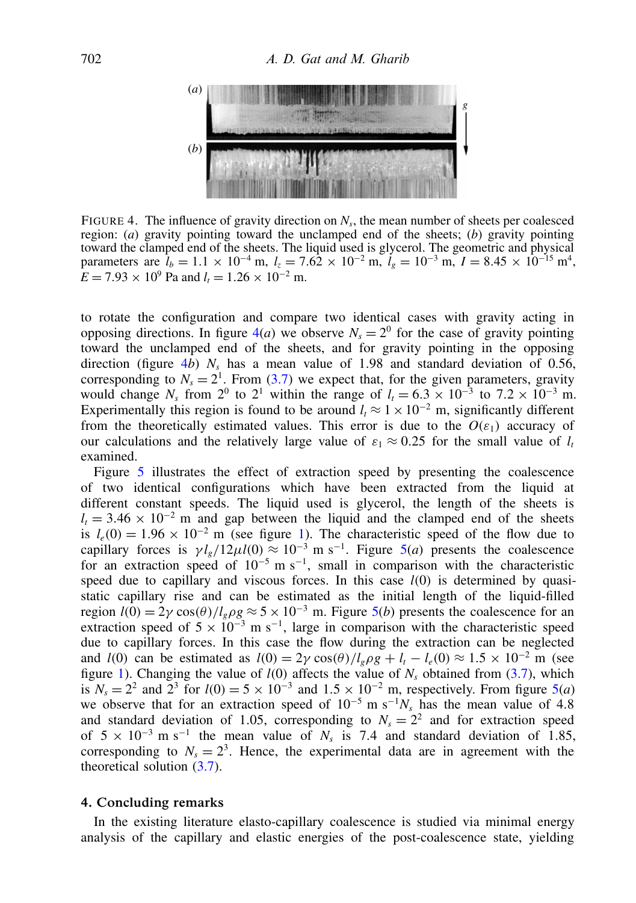

FIGURE 4. The influence of gravity direction on  $N_s$ , the mean number of sheets per coalesced region: (*a*) gravity pointing toward the unclamped end of the sheets; (*b*) gravity pointing toward the clamped end of the sheets. The liquid used is glycerol. The geometric and physical parameters are  $l_b = 1.1 \times 10^{-4}$  m,  $l_z = 7.62 \times 10^{-2}$  m,  $l_g = 10^{-3}$  m,  $I = 8.45 \times 10^{-15}$  m<sup>4</sup>,  $E = 7.93 \times 10^9$  Pa and  $l_t = 1.26 \times 10^{-2}$  m.

to rotate the configuration and compare two identical cases with gravity acting in opposing directions. In figure  $4(a)$  we observe  $N_s = 2^0$  for the case of gravity pointing toward the unclamped end of the sheets, and for gravity pointing in the opposing direction (figure 4*b*)  $N_s$  has a mean value of 1.98 and standard deviation of 0.56, corresponding to  $N_s = 2^1$ . From [\(3.7\)](#page-8-2) we expect that, for the given parameters, gravity would change  $N_s$  from  $2^0$  to  $2^1$  within the range of  $l_t = 6.3 \times 10^{-3}$  to  $7.2 \times 10^{-3}$  m. Experimentally this region is found to be around  $l_t \approx 1 \times 10^{-2}$  m, significantly different from the theoretically estimated values. This error is due to the  $O(\varepsilon_1)$  accuracy of our calculations and the relatively large value of  $\varepsilon_1 \approx 0.25$  for the small value of  $l_t$ examined.

Figure 5 illustrates the effect of extraction speed by presenting the coalescence of two identical configurations which have been extracted from the liquid at different constant speeds. The liquid used is glycerol, the length of the sheets is  $l_t$  = 3.46 × 10<sup>-2</sup> m and gap between the liquid and the clamped end of the sheets is  $l_e(0) = 1.96 \times 10^{-2}$  m (see figure 1). The characteristic speed of the flow due to capillary forces is  $\gamma l_g/12\mu l(0) \approx 10^{-3}$  m s<sup>-1</sup>. Figure 5(*a*) presents the coalescence for an extraction speed of  $10^{-5}$  m s<sup>-1</sup>, small in comparison with the characteristic speed due to capillary and viscous forces. In this case  $l(0)$  is determined by quasistatic capillary rise and can be estimated as the initial length of the liquid-filled region  $l(0) = 2\gamma \cos(\theta) / l_g \rho g \approx 5 \times 10^{-3}$  m. Figure 5(*b*) presents the coalescence for an extraction speed of  $5 \times 10^{-3}$  m s<sup>-1</sup>, large in comparison with the characteristic speed due to capillary forces. In this case the flow during the extraction can be neglected and *l*(0) can be estimated as  $l(0) = 2\gamma \cos(\theta) / l_e \rho g + l_t - l_e(0) \approx 1.5 \times 10^{-2}$  m (see figure 1). Changing the value of  $l(0)$  affects the value of  $N_s$  obtained from [\(3.7\)](#page-8-2), which is  $N_s = 2^2$  and  $2^3$  for  $l(0) = 5 \times 10^{-3}$  and  $1.5 \times 10^{-2}$  m, respectively. From figure 5(*a*) we observe that for an extraction speed of  $10^{-5}$  m s<sup>-1</sup> $N_s$  has the mean value of 4.8 and standard deviation of 1.05, corresponding to  $N_s = 2^2$  and for extraction speed of  $5 \times 10^{-3}$  m s<sup>-1</sup> the mean value of  $N_s$  is 7.4 and standard deviation of 1.85, corresponding to  $N_s = 2^3$ . Hence, the experimental data are in agreement with the theoretical solution [\(3.7\)](#page-8-2).

## <span id="page-10-0"></span>4. Concluding remarks

In the existing literature elasto-capillary coalescence is studied via minimal energy analysis of the capillary and elastic energies of the post-coalescence state, yielding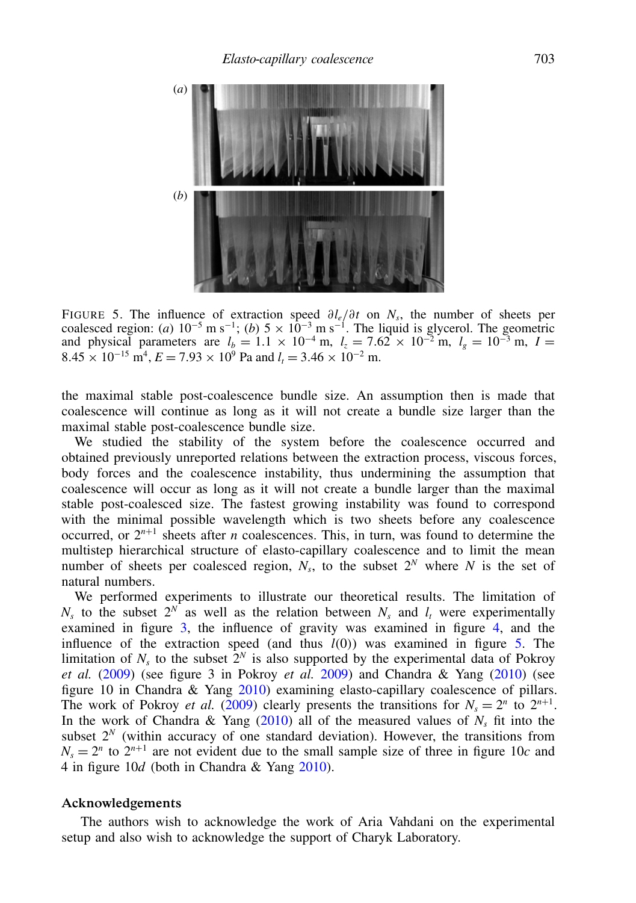

FIGURE 5. The influence of extraction speed ∂*le*/∂*t* on *N<sup>s</sup>* , the number of sheets per coalesced region: (*a*)  $10^{-5}$  m s<sup>-1</sup>; (*b*)  $5 \times 10^{-3}$  m s<sup>-1</sup>. The liquid is glycerol. The geometric and physical parameters are  $l_b = 1.1 \times 10^{-4}$  m,  $l_z = 7.62 \times 10^{-2}$  m,  $l_g = 10^{-3}$  m,  $I =$  $8.45 \times 10^{-15}$  m<sup>4</sup>,  $E = 7.93 \times 10^{9}$  Pa and  $l_t = 3.46 \times 10^{-2}$  m.

the maximal stable post-coalescence bundle size. An assumption then is made that coalescence will continue as long as it will not create a bundle size larger than the maximal stable post-coalescence bundle size.

We studied the stability of the system before the coalescence occurred and obtained previously unreported relations between the extraction process, viscous forces, body forces and the coalescence instability, thus undermining the assumption that coalescence will occur as long as it will not create a bundle larger than the maximal stable post-coalesced size. The fastest growing instability was found to correspond with the minimal possible wavelength which is two sheets before any coalescence occurred, or  $2^{n+1}$  sheets after *n* coalescences. This, in turn, was found to determine the multistep hierarchical structure of elasto-capillary coalescence and to limit the mean number of sheets per coalesced region,  $N_s$ , to the subset  $2^N$  where  $N$  is the set of natural numbers.

We performed experiments to illustrate our theoretical results. The limitation of  $N_s$  to the subset  $2^N$  as well as the relation between  $N_s$  and  $l_t$  were experimentally examined in figure 3, the influence of gravity was examined in figure 4, and the influence of the extraction speed (and thus *l*(0)) was examined in figure 5. The limitation of  $N_s$  to the subset  $2^N$  is also supported by the experimental data of Pokroy *et al.* (2009) (see figure 3 in Pokroy *et al.* 2009) and Chandra & Yang (2010) (see figure 10 in Chandra & Yang 2010) examining elasto-capillary coalescence of pillars. The work of Pokroy *et al.* (2009) clearly presents the transitions for  $N_s = 2^n$  to  $2^{n+1}$ . In the work of Chandra  $\&$  Yang (2010) all of the measured values of  $N_s$  fit into the subset  $2^N$  (within accuracy of one standard deviation). However, the transitions from  $N_s = 2^n$  to  $2^{n+1}$  are not evident due to the small sample size of three in figure 10*c* and 4 in figure 10*d* (both in Chandra & Yang 2010).

## Acknowledgements

The authors wish to acknowledge the work of Aria Vahdani on the experimental setup and also wish to acknowledge the support of Charyk Laboratory.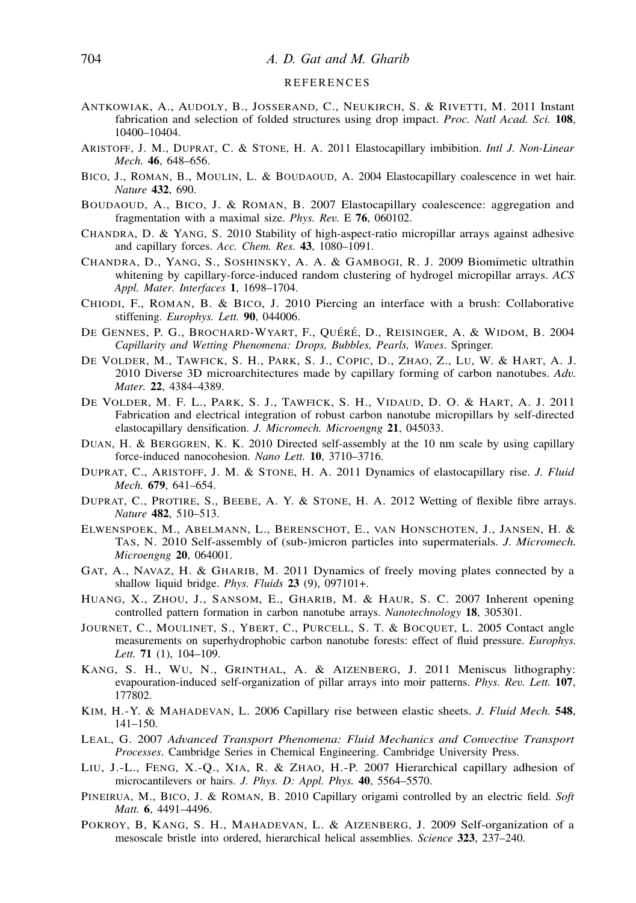#### R E F E R E N C E S

- ANTKOWIAK, A., AUDOLY, B., JOSSERAND, C., NEUKIRCH, S. & RIVETTI, M. 2011 Instant fabrication and selection of folded structures using drop impact. *Proc. Natl Acad. Sci.* 108, 10400–10404.
- ARISTOFF, J. M., DUPRAT, C. & STONE, H. A. 2011 Elastocapillary imbibition. *Intl J. Non-Linear Mech.* 46, 648–656.
- BICO, J., ROMAN, B., MOULIN, L. & BOUDAOUD, A. 2004 Elastocapillary coalescence in wet hair. *Nature* 432, 690.
- BOUDAOUD, A., BICO, J. & ROMAN, B. 2007 Elastocapillary coalescence: aggregation and fragmentation with a maximal size. *Phys. Rev.* E 76, 060102.
- CHANDRA, D. & YANG, S. 2010 Stability of high-aspect-ratio micropillar arrays against adhesive and capillary forces. *Acc. Chem. Res.* 43, 1080–1091.
- CHANDRA, D., YANG, S., SOSHINSKY, A. A. & GAMBOGI, R. J. 2009 Biomimetic ultrathin whitening by capillary-force-induced random clustering of hydrogel micropillar arrays. *ACS Appl. Mater. Interfaces* 1, 1698–1704.
- CHIODI, F., ROMAN, B. & BICO, J. 2010 Piercing an interface with a brush: Collaborative stiffening. *Europhys. Lett.* 90, 044006.
- DE GENNES, P. G., BROCHARD-WYART, F., QUÉRÉ, D., REISINGER, A. & WIDOM, B. 2004 *Capillarity and Wetting Phenomena: Drops, Bubbles, Pearls, Waves*. Springer.
- DE VOLDER, M., TAWFICK, S. H., PARK, S. J., COPIC, D., ZHAO, Z., LU, W. & HART, A. J. 2010 Diverse 3D microarchitectures made by capillary forming of carbon nanotubes. *Adv. Mater.* 22, 4384–4389.
- DE VOLDER, M. F. L., PARK, S. J., TAWFICK, S. H., VIDAUD, D. O. & HART, A. J. 2011 Fabrication and electrical integration of robust carbon nanotube micropillars by self-directed elastocapillary densification. *J. Micromech. Microengng* 21, 045033.
- DUAN, H. & BERGGREN, K. K. 2010 Directed self-assembly at the 10 nm scale by using capillary force-induced nanocohesion. *Nano Lett.* 10, 3710–3716.
- DUPRAT, C., ARISTOFF, J. M. & STONE, H. A. 2011 Dynamics of elastocapillary rise. *J. Fluid Mech.* 679, 641–654.
- DUPRAT, C., PROTIRE, S., BEEBE, A. Y. & STONE, H. A. 2012 Wetting of flexible fibre arrays. *Nature* 482, 510–513.
- ELWENSPOEK, M., ABELMANN, L., BERENSCHOT, E., VAN HONSCHOTEN, J., JANSEN, H. & TAS, N. 2010 Self-assembly of (sub-)micron particles into supermaterials. *J. Micromech. Microengng* 20, 064001.
- GAT, A., NAVAZ, H. & GHARIB, M. 2011 Dynamics of freely moving plates connected by a shallow liquid bridge. *Phys. Fluids* 23 (9), 097101+.
- HUANG, X., ZHOU, J., SANSOM, E., GHARIB, M. & HAUR, S. C. 2007 Inherent opening controlled pattern formation in carbon nanotube arrays. *Nanotechnology* 18, 305301.
- JOURNET, C., MOULINET, S., YBERT, C., PURCELL, S. T. & BOCQUET, L. 2005 Contact angle measurements on superhydrophobic carbon nanotube forests: effect of fluid pressure. *Europhys. Lett.* 71 (1), 104–109.
- KANG, S. H., WU, N., GRINTHAL, A. & AIZENBERG, J. 2011 Meniscus lithography: evapouration-induced self-organization of pillar arrays into moir patterns. *Phys. Rev. Lett.* 107, 177802.
- KIM, H.-Y. & MAHADEVAN, L. 2006 Capillary rise between elastic sheets. *J. Fluid Mech.* 548, 141–150.
- LEAL, G. 2007 *Advanced Transport Phenomena: Fluid Mechanics and Convective Transport Processes*. Cambridge Series in Chemical Engineering. Cambridge University Press.
- LIU, J.-L., FENG, X.-Q., XIA, R. & ZHAO, H.-P. 2007 Hierarchical capillary adhesion of microcantilevers or hairs. *J. Phys. D: Appl. Phys.* 40, 5564–5570.
- PINEIRUA, M., BICO, J. & ROMAN, B. 2010 Capillary origami controlled by an electric field. *Soft Matt.* 6, 4491–4496.
- POKROY, B, KANG, S. H., MAHADEVAN, L. & AIZENBERG, J. 2009 Self-organization of a mesoscale bristle into ordered, hierarchical helical assemblies. *Science* 323, 237–240.